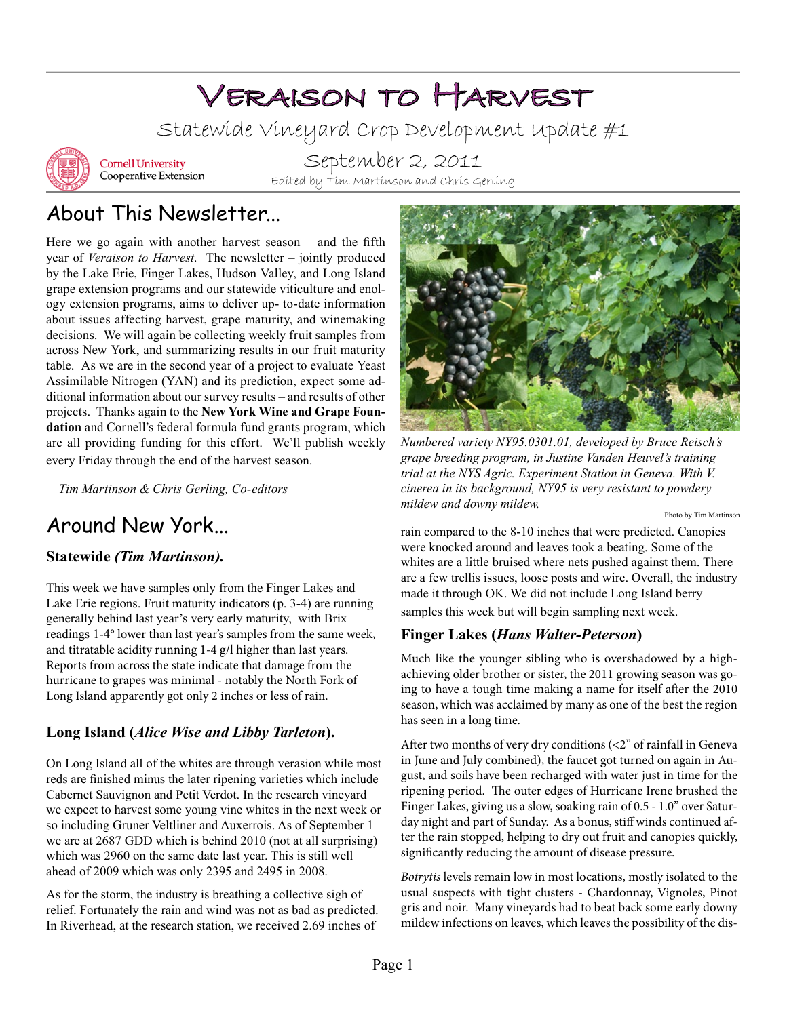# Veraison to Harvest

Statewide Vineyard Crop Development Update #1



**Cornell University** Cooperative Extension

September 2, 2011 Edited by Tim Martinson and Chris Gerling

# About This Newsletter...

Here we go again with another harvest season – and the fifth year of *Veraison to Harvest*. The newsletter – jointly produced by the Lake Erie, Finger Lakes, Hudson Valley, and Long Island grape extension programs and our statewide viticulture and enology extension programs, aims to deliver up- to-date information about issues affecting harvest, grape maturity, and winemaking decisions. We will again be collecting weekly fruit samples from across New York, and summarizing results in our fruit maturity table. As we are in the second year of a project to evaluate Yeast Assimilable Nitrogen (YAN) and its prediction, expect some additional information about our survey results – and results of other projects. Thanks again to the **New York Wine and Grape Foundation** and Cornell's federal formula fund grants program, which are all providing funding for this effort. We'll publish weekly every Friday through the end of the harvest season.

—*Tim Martinson & Chris Gerling, Co-editors*

## **Statewide** *(Tim Martinson).*

This week we have samples only from the Finger Lakes and Lake Erie regions. Fruit maturity indicators (p. 3-4) are running generally behind last year's very early maturity, with Brix readings 1-4° lower than last year's samples from the same week, and titratable acidity running 1-4 g/l higher than last years. Reports from across the state indicate that damage from the hurricane to grapes was minimal - notably the North Fork of Long Island apparently got only 2 inches or less of rain.

# **Long Island (***Alice Wise and Libby Tarleton***).**

On Long Island all of the whites are through verasion while most reds are finished minus the later ripening varieties which include Cabernet Sauvignon and Petit Verdot. In the research vineyard we expect to harvest some young vine whites in the next week or so including Gruner Veltliner and Auxerrois. As of September 1 we are at 2687 GDD which is behind 2010 (not at all surprising) which was 2960 on the same date last year. This is still well ahead of 2009 which was only 2395 and 2495 in 2008.

As for the storm, the industry is breathing a collective sigh of relief. Fortunately the rain and wind was not as bad as predicted. In Riverhead, at the research station, we received 2.69 inches of



*Numbered variety NY95.0301.01, developed by Bruce Reisch's grape breeding program, in Justine Vanden Heuvel's training trial at the NYS Agric. Experiment Station in Geneva. With V. cinerea in its background, NY95 is very resistant to powdery mildew and downy mildew.* 

Around New York... The rain compared to the 8-10 inches that were predicted. Canopies were knocked around and leaves took a beating. Some of the whites are a little bruised where nets pushed against them. There are a few trellis issues, loose posts and wire. Overall, the industry made it through OK. We did not include Long Island berry

samples this week but will begin sampling next week.

## **Finger Lakes (***Hans Walter-Peterson***)**

Much like the younger sibling who is overshadowed by a highachieving older brother or sister, the 2011 growing season was going to have a tough time making a name for itself after the 2010 season, which was acclaimed by many as one of the best the region has seen in a long time.

After two months of very dry conditions (<2" of rainfall in Geneva in June and July combined), the faucet got turned on again in August, and soils have been recharged with water just in time for the ripening period. The outer edges of Hurricane Irene brushed the Finger Lakes, giving us a slow, soaking rain of 0.5 - 1.0" over Saturday night and part of Sunday. As a bonus, stiff winds continued after the rain stopped, helping to dry out fruit and canopies quickly, significantly reducing the amount of disease pressure.

*Botrytis* levels remain low in most locations, mostly isolated to the usual suspects with tight clusters - Chardonnay, Vignoles, Pinot gris and noir. Many vineyards had to beat back some early downy mildew infections on leaves, which leaves the possibility of the dis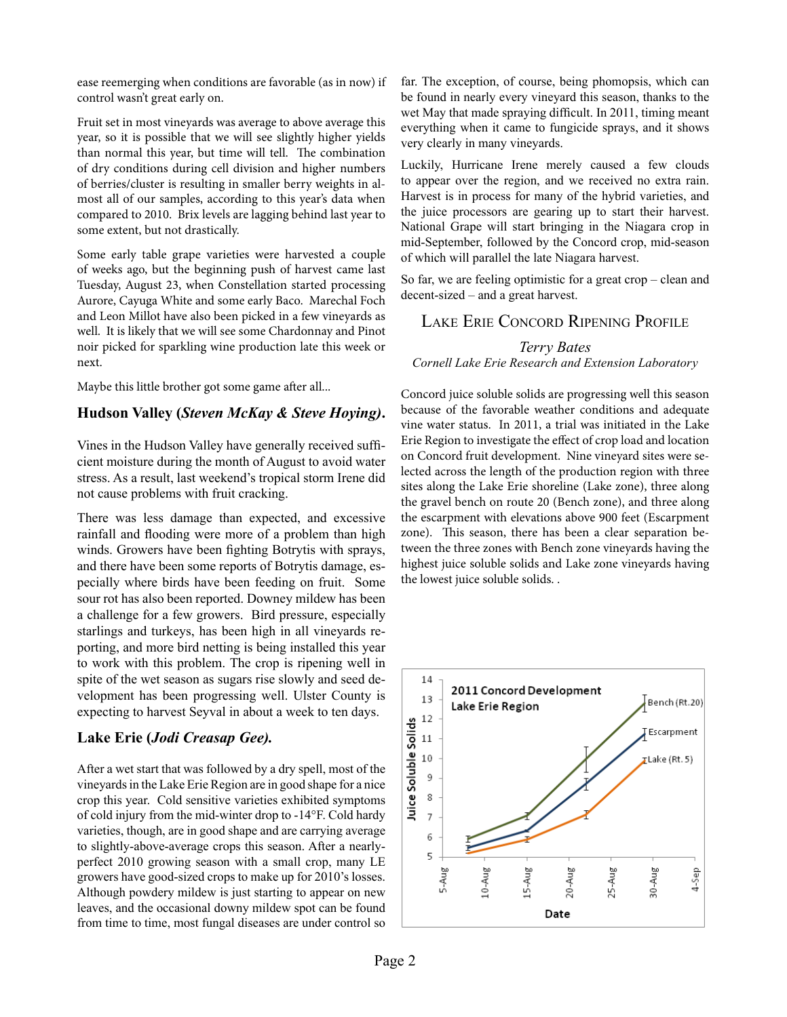ease reemerging when conditions are favorable (as in now) if control wasn't great early on.

Fruit set in most vineyards was average to above average this year, so it is possible that we will see slightly higher yields than normal this year, but time will tell. The combination of dry conditions during cell division and higher numbers of berries/cluster is resulting in smaller berry weights in almost all of our samples, according to this year's data when compared to 2010. Brix levels are lagging behind last year to some extent, but not drastically.

Some early table grape varieties were harvested a couple of weeks ago, but the beginning push of harvest came last Tuesday, August 23, when Constellation started processing Aurore, Cayuga White and some early Baco. Marechal Foch and Leon Millot have also been picked in a few vineyards as well. It is likely that we will see some Chardonnay and Pinot noir picked for sparkling wine production late this week or next.

Maybe this little brother got some game after all...

#### **Hudson Valley (***Steven McKay & Steve Hoying)***.**

Vines in the Hudson Valley have generally received sufficient moisture during the month of August to avoid water stress. As a result, last weekend's tropical storm Irene did not cause problems with fruit cracking.

There was less damage than expected, and excessive rainfall and flooding were more of a problem than high winds. Growers have been fighting Botrytis with sprays, and there have been some reports of Botrytis damage, especially where birds have been feeding on fruit. Some sour rot has also been reported. Downey mildew has been a challenge for a few growers. Bird pressure, especially starlings and turkeys, has been high in all vineyards reporting, and more bird netting is being installed this year to work with this problem. The crop is ripening well in spite of the wet season as sugars rise slowly and seed development has been progressing well. Ulster County is expecting to harvest Seyval in about a week to ten days.

### **Lake Erie (***Jodi Creasap Gee).*

After a wet start that was followed by a dry spell, most of the vineyards in the Lake Erie Region are in good shape for a nice crop this year. Cold sensitive varieties exhibited symptoms of cold injury from the mid-winter drop to -14°F. Cold hardy varieties, though, are in good shape and are carrying average to slightly-above-average crops this season. After a nearlyperfect 2010 growing season with a small crop, many LE growers have good-sized crops to make up for 2010's losses. Although powdery mildew is just starting to appear on new leaves, and the occasional downy mildew spot can be found from time to time, most fungal diseases are under control so far. The exception, of course, being phomopsis, which can be found in nearly every vineyard this season, thanks to the wet May that made spraying difficult. In 2011, timing meant everything when it came to fungicide sprays, and it shows very clearly in many vineyards.

Luckily, Hurricane Irene merely caused a few clouds to appear over the region, and we received no extra rain. Harvest is in process for many of the hybrid varieties, and the juice processors are gearing up to start their harvest. National Grape will start bringing in the Niagara crop in mid-September, followed by the Concord crop, mid-season of which will parallel the late Niagara harvest.

So far, we are feeling optimistic for a great crop – clean and decent-sized – and a great harvest.

### Lake Erie Concord Ripening Profile

#### *Terry Bates*

#### *Cornell Lake Erie Research and Extension Laboratory*

Concord juice soluble solids are progressing well this season because of the favorable weather conditions and adequate vine water status. In 2011, a trial was initiated in the Lake Erie Region to investigate the effect of crop load and location on Concord fruit development. Nine vineyard sites were selected across the length of the production region with three sites along the Lake Erie shoreline (Lake zone), three along the gravel bench on route 20 (Bench zone), and three along the escarpment with elevations above 900 feet (Escarpment zone). This season, there has been a clear separation between the three zones with Bench zone vineyards having the highest juice soluble solids and Lake zone vineyards having the lowest juice soluble solids. .

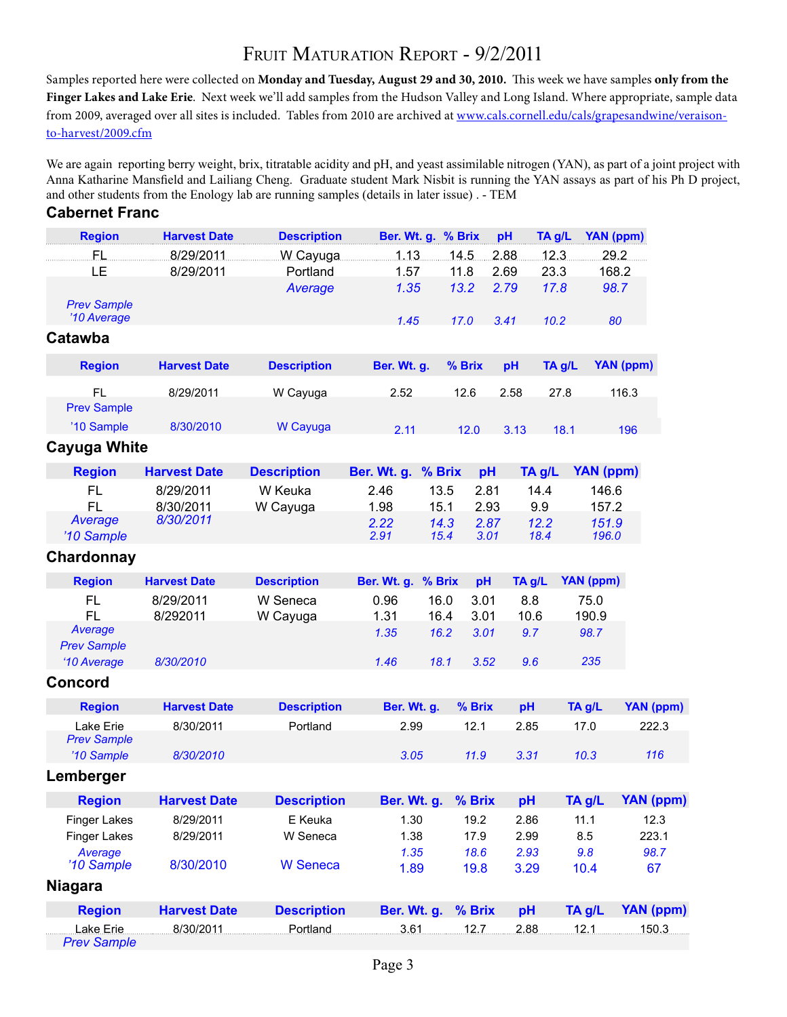# FRUIT MATURATION REPORT - 9/2/2011

Samples reported here were collected on **Monday and Tuesday, August 29 and 30, 2010.** This week we have samples **only from the Finger Lakes and Lake Erie**. Next week we'll add samples from the Hudson Valley and Long Island. Where appropriate, sample data from 2009, averaged over all sites is included. Tables from 2010 are archived at www.cals.cornell.edu/cals/grapesandwine/veraisonto-harvest/2009.cfm

We are again reporting berry weight, brix, titratable acidity and pH, and yeast assimilable nitrogen (YAN), as part of a joint project with Anna Katharine Mansfield and Lailiang Cheng. Graduate student Mark Nisbit is running the YAN assays as part of his Ph D project, and other students from the Enology lab are running samples (details in later issue) . - TEM **Cabernet Franc**

| <b>Region</b>                     | <b>Harvest Date</b> | <b>Description</b> | <b>Ber. Wt. g.</b> | % Brix       | pH           | TA g/L       | YAN (ppm)        |                  |
|-----------------------------------|---------------------|--------------------|--------------------|--------------|--------------|--------------|------------------|------------------|
| FL                                | 8/29/2011           | W Cayuga           | 1.13               | 14.5         | 2.88         | 12.3         | 29.2             |                  |
| LE                                | 8/29/2011           | Portland           | 1.57               | 11.8         | 2.69         | 23.3         | 168.2            |                  |
|                                   |                     | Average            | 1.35               | 13.2         | 2.79         | 17.8         | 98.7             |                  |
| <b>Prev Sample</b><br>'10 Average |                     |                    | 1.45               | 17.0         | 3.41         | 10.2         | 80               |                  |
| Catawba                           |                     |                    |                    |              |              |              |                  |                  |
| <b>Region</b>                     | <b>Harvest Date</b> | <b>Description</b> | Ber. Wt. g.        | % Brix       |              | TA g/L<br>pH |                  | YAN (ppm)        |
| <b>FL</b><br><b>Prev Sample</b>   | 8/29/2011           | W Cayuga           | 2.52               | 12.6         |              | 2.58<br>27.8 |                  | 116.3            |
| '10 Sample                        | 8/30/2010           | W Cayuga           | 2.11               | 12.0         |              | 3.13         | 18.1             | 196              |
| <b>Cayuga White</b>               |                     |                    |                    |              |              |              |                  |                  |
| <b>Region</b>                     | <b>Harvest Date</b> | <b>Description</b> | Ber. Wt. g.        | % Brix       | pH           | TA g/L       | <b>YAN (ppm)</b> |                  |
| <b>FL</b>                         | 8/29/2011           | W Keuka            | 2.46               | 13.5         | 2.81         | 14.4         | 146.6            |                  |
| <b>FL</b>                         | 8/30/2011           | W Cayuga           | 1.98               | 15.1         | 2.93         | 9.9          | 157.2            |                  |
| Average<br>'10 Sample             | 8/30/2011           |                    | 2.22<br>2.91       | 14.3<br>15.4 | 2.87<br>3.01 | 12.2<br>18.4 | 151.9<br>196.0   |                  |
| Chardonnay                        |                     |                    |                    |              |              |              |                  |                  |
| <b>Region</b>                     | <b>Harvest Date</b> | <b>Description</b> | Ber. Wt. g.        | % Brix       | pH           | TA g/L       | <b>YAN (ppm)</b> |                  |
| <b>FL</b>                         | 8/29/2011           | W Seneca           | 0.96               | 16.0         | 3.01         | 8.8          | 75.0             |                  |
| <b>FL</b>                         | 8/292011            | W Cayuga           | 1.31               | 16.4         | 3.01         | 10.6         | 190.9            |                  |
| Average                           |                     |                    | 1.35               | 16.2         | 3.01         | 9.7          | 98.7             |                  |
| <b>Prev Sample</b>                |                     |                    |                    |              |              |              |                  |                  |
| '10 Average                       | 8/30/2010           |                    | 1.46               | 18.1         | 3.52         | 9.6          | 235              |                  |
| <b>Concord</b>                    |                     |                    |                    |              |              |              |                  |                  |
| <b>Region</b>                     | <b>Harvest Date</b> | <b>Description</b> | Ber. Wt. g.        |              | % Brix       | pH           | TA g/L           | <b>YAN (ppm)</b> |
| Lake Erie                         | 8/30/2011           | Portland           | 2.99               |              | 12.1         | 2.85         | 17.0             | 222.3            |
| <b>Prev Sample</b><br>'10 Sample  | 8/30/2010           |                    | 3.05               |              | 11.9         | 3.31         | 10.3             | 116              |
| Lemberger                         |                     |                    |                    |              |              |              |                  |                  |
| <b>Region</b>                     | <b>Harvest Date</b> | <b>Description</b> | Ber. Wt. g.        |              | % Brix       | pH           | TA g/L           | <b>YAN (ppm)</b> |
| <b>Finger Lakes</b>               | 8/29/2011           | E Keuka            | 1.30               |              | 19.2         | 2.86         | 11.1             | 12.3             |
| <b>Finger Lakes</b>               | 8/29/2011           | W Seneca           | 1.38               |              | 17.9         | 2.99         | 8.5              | 223.1            |
| Average                           |                     |                    | 1.35               |              | 18.6         | 2.93         | 9.8              | 98.7             |
| '10 Sample<br><b>Niagara</b>      | 8/30/2010           | <b>W</b> Seneca    | 1.89               |              | 19.8         | 3.29         | 10.4             | 67               |
| <b>Region</b>                     | <b>Harvest Date</b> | <b>Description</b> | Ber. Wt. g.        |              | % Brix       | pH           | TA g/L           | <b>YAN (ppm)</b> |
|                                   |                     |                    |                    |              |              |              |                  |                  |
| Lake Erie<br><b>Prev Sample</b>   | 8/30/2011           | Portland           |                    | $3.61$ 12.7  |              |              | 2.88 12.1 150.3  |                  |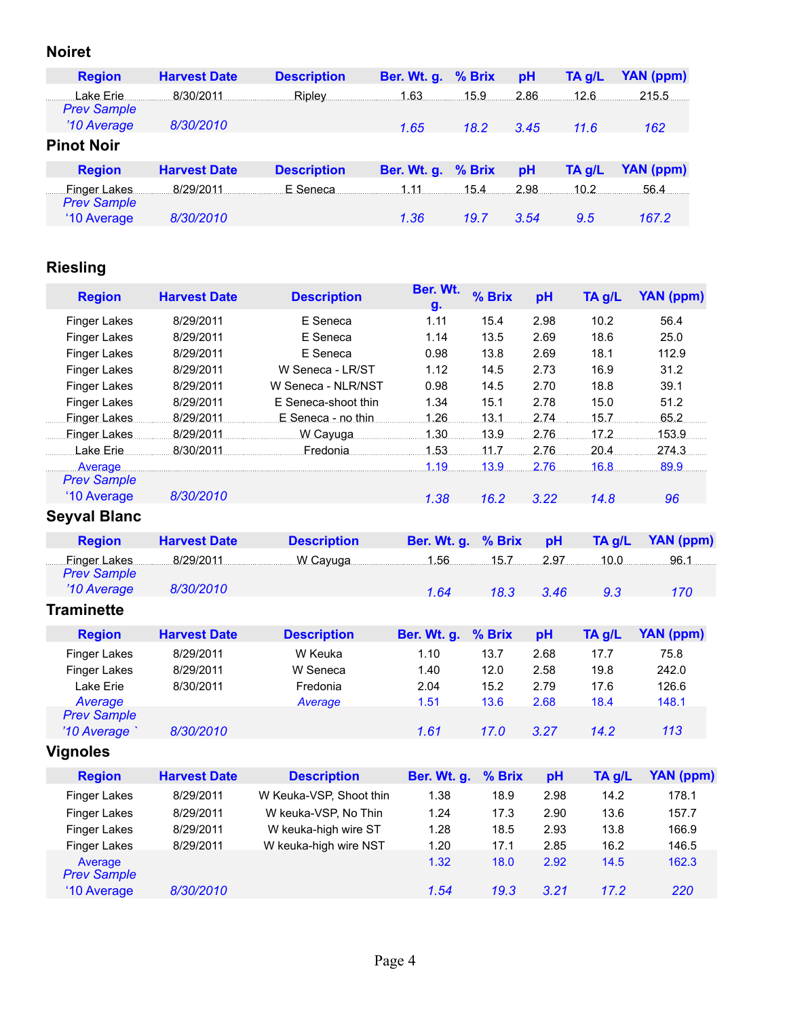## **Noiret**

| <b>Region</b>                      | <b>Harvest Date</b> | <b>Description</b> | Ber. Wt. g. % Brix |      | pH   | $TA$ g/L | YAN (ppm)        |
|------------------------------------|---------------------|--------------------|--------------------|------|------|----------|------------------|
| Lake Erie<br><b>Prev Sample</b>    | 8/30/2011           | Ripley             | 1.63               | 15.9 | 2.86 | 12.6     | 215.5            |
| '10 Average                        | 8/30/2010           |                    | 1.65               | 18.2 | 3.45 | 11.6     | 162              |
| <b>Pinot Noir</b>                  |                     |                    |                    |      |      |          |                  |
| <b>Region</b>                      | <b>Harvest Date</b> | <b>Description</b> | Ber. Wt. g. % Brix |      | pH   | $TA$ g/L | <b>YAN (ppm)</b> |
| Finger Lakes<br><b>Prev Sample</b> | 8/29/2011           | E Seneca           | 1.11               | 15.4 | 2.98 | 10.2     | 56.4             |
| '10 Average                        | 8/30/2010           |                    | 1.36               | 19.7 | 3.54 | 9.5      | 167.2            |

# **Riesling**

| <b>Region</b>                      | <b>Harvest Date</b> | <b>Description</b>      | Ber. Wt.<br>g. | % Brix | pH   | TA g/L | <b>YAN</b> (ppm) |
|------------------------------------|---------------------|-------------------------|----------------|--------|------|--------|------------------|
| <b>Finger Lakes</b>                | 8/29/2011           | E Seneca                | 1.11           | 15.4   | 2.98 | 10.2   | 56.4             |
| <b>Finger Lakes</b>                | 8/29/2011           | E Seneca                | 1.14           | 13.5   | 2.69 | 18.6   | 25.0             |
| <b>Finger Lakes</b>                | 8/29/2011           | E Seneca                | 0.98           | 13.8   | 2.69 | 18.1   | 112.9            |
| <b>Finger Lakes</b>                | 8/29/2011           | W Seneca - LR/ST        | 1.12           | 14.5   | 2.73 | 16.9   | 31.2             |
| <b>Finger Lakes</b>                | 8/29/2011           | W Seneca - NLR/NST      | 0.98           | 14.5   | 2.70 | 18.8   | 39.1             |
| <b>Finger Lakes</b>                | 8/29/2011           | E Seneca-shoot thin     | 1.34           | 15.1   | 2.78 | 15.0   | 51.2             |
| Finger Lakes                       | 8/29/2011           | E Seneca - no thin      | .1.26.         | .13.1  | 2.74 | 15.7   | 65.2             |
| Finger Lakes                       |                     |                         | 1.30           | 13.9   | 2.76 | 17.2   | 153.9            |
| Lake Erie                          |                     | 8/30/2011    Fredonia   | 1.53           | 11.7.  | 2.76 | 20.4   | 274.3            |
| Average<br><b>Prev Sample</b>      |                     |                         | 1.19           | 13.9   | 2.76 | 16.8   | 89.9             |
| '10 Average                        | 8/30/2010           |                         | 1.38           | 16.2   | 3.22 | 14.8   | 96               |
| <b>Seyval Blanc</b>                |                     |                         |                |        |      |        |                  |
| <b>Region</b>                      | <b>Harvest Date</b> | <b>Description</b>      | Ber. Wt. g.    | % Brix | pH   | TA g/L | <b>YAN</b> (ppm) |
| Finger Lakes<br><b>Prev Sample</b> | 8/29/2011           | W Cayuga 2008 1.56 1.56 |                |        | 2.97 | .10.0. | 96.1             |
| '10 Average                        | 8/30/2010           |                         | 1.64           | 18.3   | 3.46 | 9.3    | 170              |
| <b>Traminette</b>                  |                     |                         |                |        |      |        |                  |
| <b>Region</b>                      | <b>Harvest Date</b> | <b>Description</b>      | Ber. Wt. g.    | % Brix | pH   | TA g/L | <b>YAN (ppm)</b> |
| <b>Finger Lakes</b>                | 8/29/2011           | W Keuka                 | 1.10           | 13.7   | 2.68 | 17.7   | 75.8             |
| <b>Finger Lakes</b>                | 8/29/2011           | W Seneca                | 1.40           | 12.0   | 2.58 | 19.8   | 242.0            |
| Lake Erie                          | 8/30/2011           | Fredonia                | 2.04           | 15.2   | 2.79 | 17.6   | 126.6            |
| Average<br><b>Prev Sample</b>      |                     | Average                 | 1.51           | 13.6   | 2.68 | 18.4   | 148.1            |
| '10 Average                        | 8/30/2010           |                         | 1.61           | 17.0   | 3.27 | 14.2   | 113              |
| <b>Vignoles</b>                    |                     |                         |                |        |      |        |                  |
| <b>Region</b>                      | <b>Harvest Date</b> | <b>Description</b>      | Ber. Wt. g.    | % Brix | pH   | TA g/L | <b>YAN (ppm)</b> |
| <b>Finger Lakes</b>                | 8/29/2011           | W Keuka-VSP, Shoot thin | 1.38           | 18.9   | 2.98 | 14.2   | 178.1            |
| <b>Finger Lakes</b>                | 8/29/2011           | W keuka-VSP, No Thin    | 1.24           | 17.3   | 2.90 | 13.6   | 157.7            |
| <b>Finger Lakes</b>                | 8/29/2011           | W keuka-high wire ST    | 1.28           | 18.5   | 2.93 | 13.8   | 166.9            |
| <b>Finger Lakes</b>                | 8/29/2011           | W keuka-high wire NST   | 1.20           | 17.1   | 2.85 | 16.2   | 146.5            |
|                                    |                     |                         |                |        |      |        |                  |
| Average<br><b>Prev Sample</b>      |                     |                         | 1.32           | 18.0   | 2.92 | 14.5   | 162.3            |